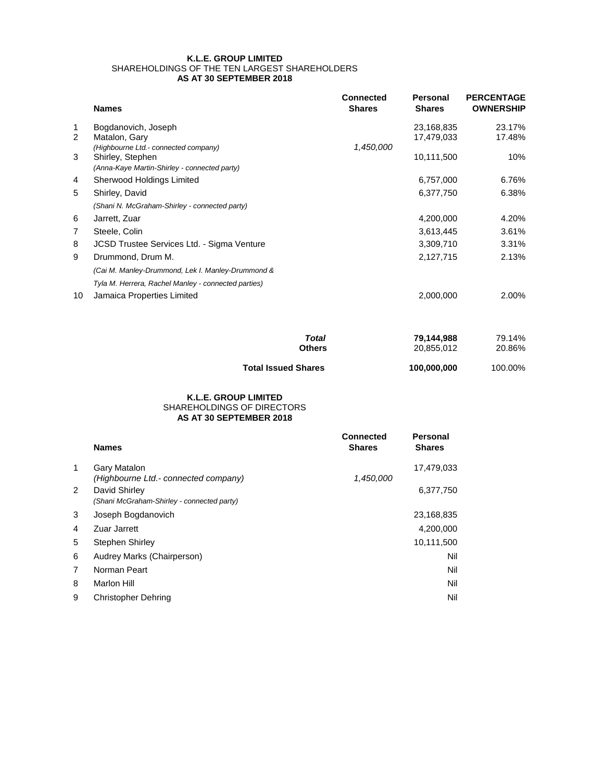## **K.L.E. GROUP LIMITED** SHAREHOLDINGS OF THE TEN LARGEST SHAREHOLDERS **AS AT 30 SEPTEMBER 2018**

|    | <b>Names</b>                                        | <b>Connected</b><br><b>Shares</b> | <b>Personal</b><br><b>Shares</b> | <b>PERCENTAGE</b><br><b>OWNERSHIP</b> |
|----|-----------------------------------------------------|-----------------------------------|----------------------------------|---------------------------------------|
| 1  | Bogdanovich, Joseph                                 |                                   | 23,168,835                       | 23.17%                                |
| 2  | Matalon, Gary                                       |                                   | 17,479,033                       | 17.48%                                |
|    | (Highbourne Ltd.- connected company)                | 1,450,000                         |                                  |                                       |
| 3  | Shirley, Stephen                                    |                                   | 10,111,500                       | 10%                                   |
|    | (Anna-Kaye Martin-Shirley - connected party)        |                                   |                                  |                                       |
| 4  | Sherwood Holdings Limited                           |                                   | 6,757,000                        | 6.76%                                 |
| 5  | Shirley, David                                      |                                   | 6,377,750                        | 6.38%                                 |
|    | (Shani N. McGraham-Shirley - connected party)       |                                   |                                  |                                       |
| 6  | Jarrett, Zuar                                       |                                   | 4,200,000                        | 4.20%                                 |
| 7  | Steele, Colin                                       |                                   | 3,613,445                        | 3.61%                                 |
| 8  | JCSD Trustee Services Ltd. - Sigma Venture          |                                   | 3,309,710                        | 3.31%                                 |
| 9  | Drummond, Drum M.                                   |                                   | 2,127,715                        | 2.13%                                 |
|    | (Cai M. Manley-Drummond, Lek I. Manley-Drummond &   |                                   |                                  |                                       |
|    | Tyla M. Herrera, Rachel Manley - connected parties) |                                   |                                  |                                       |
| 10 | Jamaica Properties Limited                          |                                   | 2,000,000                        | 2.00%                                 |

| Total                      | 79.144.988  | 79.14%  |
|----------------------------|-------------|---------|
| <b>Others</b>              | 20.855.012  | 20.86%  |
| <b>Total Issued Shares</b> | 100.000.000 | 100.00% |

## **AS AT 30 SEPTEMBER 2018 K.L.E. GROUP LIMITED** SHAREHOLDINGS OF DIRECTORS

|              | <b>Names</b>                                                | <b>Connected</b><br><b>Shares</b> | <b>Personal</b><br><b>Shares</b> |
|--------------|-------------------------------------------------------------|-----------------------------------|----------------------------------|
| $\mathbf{1}$ | Gary Matalon<br>(Highbourne Ltd.- connected company)        | 1,450,000                         | 17,479,033                       |
| 2            | David Shirley<br>(Shani McGraham-Shirley - connected party) |                                   | 6,377,750                        |
| 3            | Joseph Bogdanovich                                          |                                   | 23,168,835                       |
| 4            | Zuar Jarrett                                                |                                   | 4,200,000                        |
| 5            | <b>Stephen Shirley</b>                                      |                                   | 10,111,500                       |
| 6            | Audrey Marks (Chairperson)                                  |                                   | Nil                              |
| 7            | Norman Peart                                                |                                   | Nil                              |
| 8            | Marlon Hill                                                 |                                   | Nil                              |
| 9            | Christopher Dehring                                         |                                   | Nil                              |